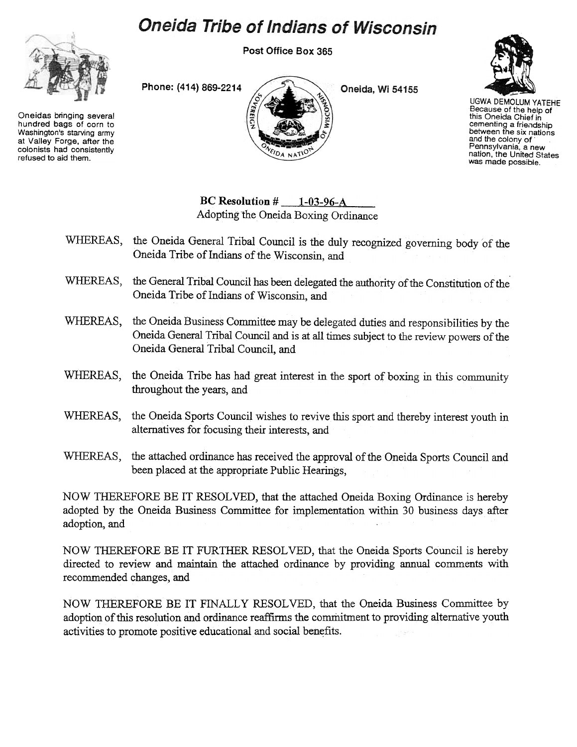# **Oneida Tribe of Indians of Wisconsin**

Post Office Box 365



Oneidas bringing several hundred bags of corn to Washington's starving army at Valley Forge, after the colonists had consistently refused to aid them.



Oneida, Wi 54155



UGWA DEMOLUM YATEHE Because of the help of this Oneida Chief in cementing a friendship between the six nations and the colony of Pennsylvania, a new nation, the United States was made possible.

BC Resolution  $\#$  1-03-96-A Adopting the Oneida Boxing Ordinance

- WHEREAS, the Oneida General Tribal Council is the duly recognized governing body of the Oneida Tribe of Indians of the Wisconsin, and
- WHEREAS, the General Tribal Council has been delegated the authority of the Constitution of the Oneida Tribe of Indians of Wisconsin, and
- WHEREAS, the Oneida Business Committee may be delegated duties and responsibilities by the Oneida General Tribal Council and is at all times subject to the review powers of the Oneida General Tribal Council, and
- WHEREAS, the Oneida Tribe has had great interest in the sport of boxing in this community throughout the years, and
- WHEREAS, the Oneida Sports Council wishes to revive this sport and thereby interest youth in alternatives for focusing their interests, and
- WHEREAS, the attached ordinance has received the approval of the Oneida Sports Council and been placed at the appropriate Public Hearings,

NOW THEREFORE BE IT RESOLVED, that the attached Oneida Boxing Ordinance is hereby adopted by the Oneida Business Committee for implementation within 30 business days after adoption, and

NOW THEREFORE BE IT FURTHER RESOLVED, that the Oneida Sports Council is hereby directed to review and maintain the attached ordinance by providing annual comments with recommended changes, and

NOW THEREFORE BE IT FINALLY RESOLVED, that the Oneida Business Committee by adoption of this resolution and ordinance reaffirms the commitment to providing alternative youth activities to promote positive educational and social benefits.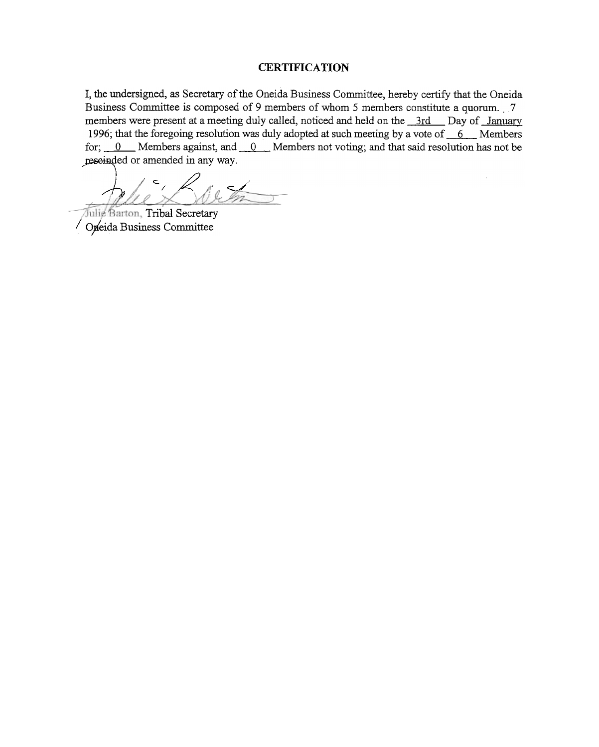# **CERTIFICATION**

I, the undersigned, as Secretary of the Oneida Business Committee, hereby certify that the Oneida Business Committee is composed of 9 members of whom 5 members constitute a quorum.. 7 members were present at a meeting duly called, noticed and held on the 3rd Day of January 1996; that the foregoing resolution was duly adopted at such meeting by a vote of  $6 \quad 6 \quad$  Members for;  $\underline{0}$  Members against, and  $\underline{0}$  Members not voting; and that said resolution has not be reseinded or amended in any way.

 $K$ 

Julie Barton, Tribal Secretary Opeida Business Committee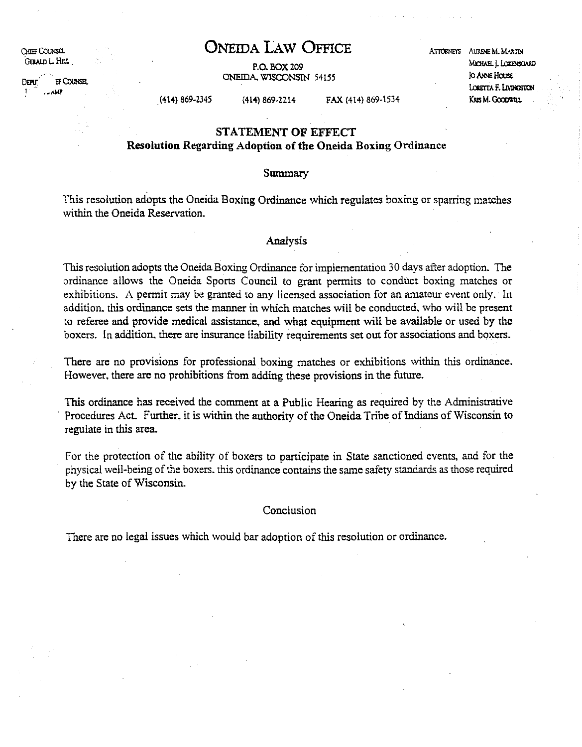CHIEF COUNSEL GERALD L. HILL

 $E$ FC $C$  $C$  $D$  $E$  $E$  $E$ DEAD  $1 - \Delta MP$ 

**ONEIDA LAw OFFICE**

P.O. BOX 209 ONEIDA. WISCONSIN 54155 ATTORNEYS AURENE M. MARTIN MICHAEL I. LOKENSGARD Io ANNE HOUSE Locenta F. Livinositon KRISM. Goodwill

.(414) 869·2345 (414) 869·2214 FAX (414) 869·1534

# **STATEMENT OF EFFECT**

**Resolution Regarding Adoption of the Oneida Boxing Ordinance**

#### Summary

This resolution adopts the Oneida Boxing Ordinance which regulates boxing or sparring matches within the Oneida Reservation.

#### Analysis

This resolution adopts the Oneida Boxing Ordinance for implementation 30 days after adoption. The ordinance allows the Oneida Sports Council to grant permits to conduct boxing matches or exhibitions. A permit may be granted to any licensed association for an amateur event only. In addition. this ordinance sets the manner in which matches will be conducted. who will be present to referee and provide medical assistance, and what equipment will be available or used by the boxers. In addition. there are insurance liability requirements set out for associations and boxers.

There are no provisions for professional boxing matches or exhibitions within this ordinance. However. there are no prohibitions from adding these provisions in the future.

This ordinance has received the comment at a Public Hearing as required by the Administrative Procedures Act. Further, it is within the authority of the Oneida Tribe of Indians of Wisconsin to regulate in this area.

For the protection of the ability of boxers to participate in State sanctioned events, and for the physical well-being ofthe boxers. this ordinance contains the same safety standards as those required by the State of Wisconsin.

#### **Conclusion**

There are no legal issues which would bar adoption of this resolution or ordinance.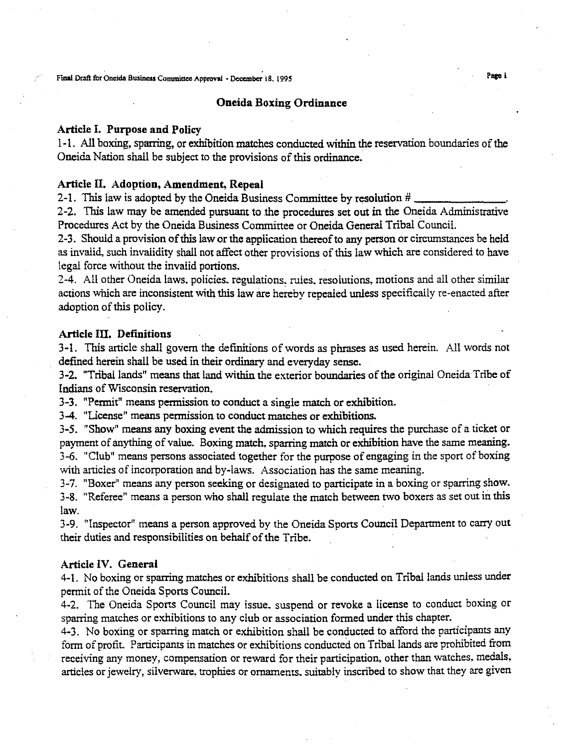Final Draft for Oneida Business Committee Approval • December 18. 1995

#### Oneida Boxing Ordinance

#### Article I. Purpose and Policy

1-1. All boxing, sparring, or exhibition matches conducted within the reservation boundaries of the Oneida Nation shall be subject to the provisions of this ordinance.

#### Article II. Adoption, Amendment, Repeal

2-1. This law is adopted by the Oneida Business Committee by resolution # \_

2-2. This law may be amended pursuant to the procedures set out in the Oneida Administrative Procedures Act by the Oneida Business Committee or Oneida General Tribal Council.

2-3. Should a provision of this law or the application thereof to any person or circumstances be held as invalid, such invalidity shall not affect other provisions of this law which are considered to have legal force without the invalid portions.

2-4. All other Oneida laws. policies. regulations, rules. resolutions, motions and all other similar actions which are inconsistent with this law are hereby repealed unless specifically re-enacted after adoption of this policy.

## Article III. Definitions

3-1. This article shall govern the definitions of words as phrases as used herein. All words not defined herein shall be used in their ordinary and everyday sense.

3-2. "Tribal lands" means that land within the exterior boundaries of the original Oneida Tribe of Indians ofWisconsin reservation.

3-3. "Permit" means permission to conduct a single match or exhibition.

3-4. "License" means permission to conduct matches or exhibitions.

3-5. "Show" means any boxing event the admission to which requires the purchase of a ticket or payment of anything of value. Boxing match, sparring match or exhibition have the same meaning. 3-6. "Club" means persons associated together for the purpose of engaging in the sport of boxing with articles of incorporation and by-laws. Association has the same meaning.

3-7. "Boxer" means any person seeking or designated to participate in a boxing or sparring show. 3-8. "Referee" means a person who shall regulate the match between two boxers as set out in this law.

3-9. "Inspector" means a person approved by the Oneida Sports Council Department to carry out their duties and responsibilities on behalf of the Tribe.

#### Article IV. General

4-1. No boxing or sparring matches or exhibitions shall be conducted on Tribal lands unless under permit of the Oneida Sports Council.

4-2. The Oneida Sports Council may issue. suspend or revoke a license to conduct boxing or sparring matches or exhibitions to any club or association formed under this chapter.

4-3. No boxing or sparring match or exhibition shall be conducted to afford the participants any form of profit. Participants in matches or exhibitions conducted on Tribal lands are prohibited from receiving any money, compensation or reward for their participation, other than watches, medals, articles or jewelry, silverware, trophies or ornaments, suitably inscribed to show that they are given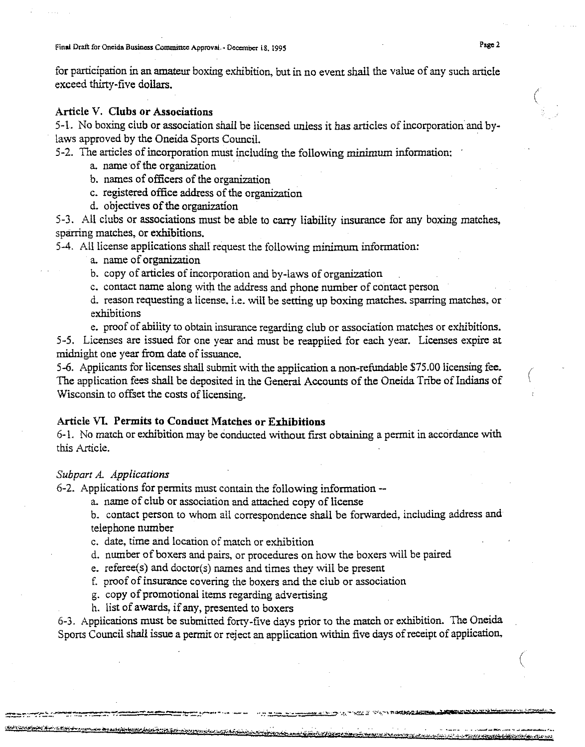for participation in an amateur boxing exhibition, but in no event shall the value of any such article exceed thirty-five dollars.

# Article V. Clubs or Associations

5-1. No boxing club or association shall be licensed unless it has articles ofincorporation and bylaws approved by the Oneida Sports Council.

5-2. The articles of incorporation must including the following minimum information:

- a. name of the organization
- b. names of officers of the organization
- c. registered office address of the organization
- d. objectives of the organization

5-3. All clubs or associations must be able to carry liability insurance for any boxing matches, sparring matches, or exhibitions.

5-4. All license applications shall request the following minimum information:

a. name of organization

b. copy of articles of incorporation and by-laws of organization

c. contact name along with the address and phone number of contact person

d. reason requesting a license. i.e, will be setting up boxing matches. sparring matches, or exhibitions

e. proof of ability to obtain insurance regarding club or association matches or exhibitions. 5-5. Licenses are issued for one year and must be reapplied for each year. Licenses expire at midnight one year from date of issuance.

5-6. Applicants for licenses shall submit with the application a non-refundable \$75.00 licensing fee. The application fees shall be deposited in the General Accounts of the Oneida Tribe of Indians of Wisconsin to offset the costs of licensing.

## Article VI. Permits to Conduct Matches or Exhibitions

6-1. No match or exhibition may be conducted without first obtaining a permit in accordance with this Article.

#### *Subpart A. Applications*

6-2. Applications for permits must contain the following information --

a. name of club or association and attached copy of license

b. contact person to whom all correspondence shall be forwarded, including address and telephone number

c. date, time and location of match or exhibition

d. number of boxers and pairs, or procedures on how the boxers will be paired

e. referee(s) and doctor(s) names and times they will be present

f. proof of insurance covering the boxers and the club or association

g. copy of promotional items regarding advertising

h. list of awards, if any, presented to boxers

المستحدث وجواء وجودي والمتوافق ومؤوخ والمتوجبان والمتوافق والمتعادلة المستور

6-3. Applications must be submitted forty-five days prior to the match or exhibition. The Oneida Sports Council shall issue a permit or reject an application within five days ofreceipt of application,

<u>Katharata ko id internación posteregna a</u>

(

(

(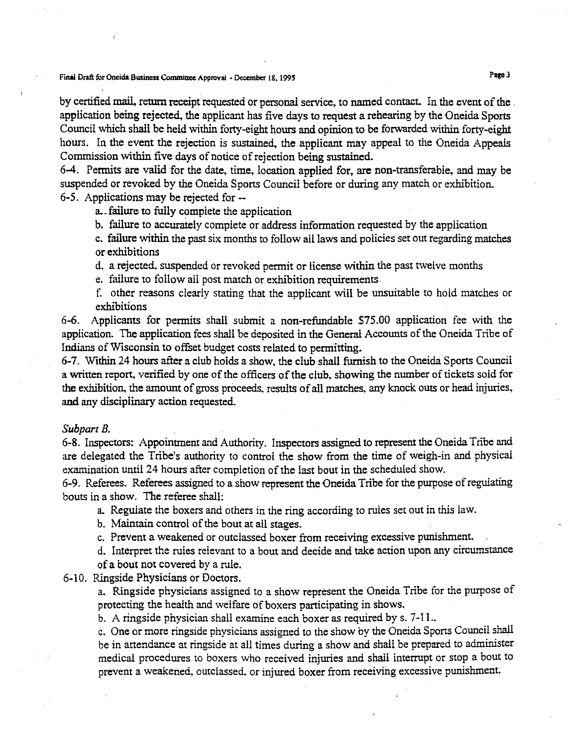Final Draft for Oneida Business Committee Approval - December 18, 1995 Page 3

by certified mail, return receipt requested or personal service, to named contact. In the event of the . application being rejected, the applicant has five days to request a rehearing by the Oneida Sports Council which shall be held within forty-eight hours and opinion to be forwarded within forty-eight hours. In the event the rejection is sustained, the applicant may appeal to the Oneida Appeals Commission within five days of notice of rejection being sustained.

6-4. Permits are valid for the date, time, location applied for, are non-transferable, and may be suspended or revoked by the Oneida Sports Council before or during any match or exhibition. 6-5. Applications may be rejected for--

a.. failure to fully complete the application

b. failure to accurately complete or address information requested by the application

c. failure within the past six months to follow all laws and policies set out regarding matches or exhibitions

d. a rejected. suspended or revoked permit or license within the past twelve months

e. failure to follow all post match or exhibition requirements.

f. other reasons clearly stating that the applicant will be unsuitable to hold matches or exhibitions

6-6. Applicants for permits shall submit a non-refundable \$75.00 application fee with the application. The application fees shall be deposited in the General Accounts of the Oneida Tribe of Indians of Wisconsin to offset budget costs related to permitting.

6-7. Within 24 hours after a club holds a show, the club shall furnish to the Oneida Sports Council a written report, verified by one of the officers of the club, showing the number of tickets sold for the exhibition, the amount of gross proceeds. results of all matches, any knock outs or head injuries, and any disciplinary action requested.

#### *SubpartB.*

6-8. Inspectors: Appointment and Authority. Inspectors assigned to represent the Oneida Tribe and are delegated the Tribe's authority to control the show from the time of weigh-in and physical examination until 24 hours after completion of the last bout in the scheduled show.

6-9. Referees. Referees assigned to a show represent the Oneida Tribe for the purpose ofregulating bouts in a show. The referee shall:

a. Regulate the boxers and others in the ring according to rules set out in this law.

b. Maintain control of the bout at all stages.

c. Prevent a weakened or outclassed boxer from receiving excessive punishment.

d. Interpret the rules relevant to a bout and decide and take action upon any circumstance of a bout not covered by a rule.

6-10. Ringside Physicians or Doctors.

a. Ringside physicians assigned to a show represent the Oneida Tribe for the purpose of protecting the health and welfare of boxers participating in shows.

b. A ringside physician shall examine each boxer as required by s. 7-11..

c. One or more ringside physicians assigned to the show by the Oneida Sports Council shall be in attendance at ringside at all times during a show and shall be prepared to administer medical procedures to boxers who received injuries and shall interrupt or stop a bout to prevent a weakened, outclassed. or injured boxer from receiving excessive punishment.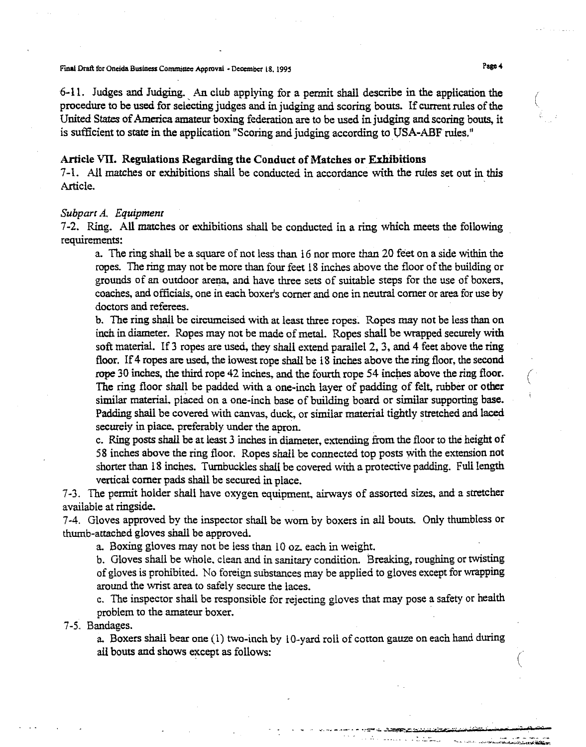Final Draft for Oneida Business Committee Approval - December 18. 1995

6-11. Judges and Judging. An club applying for a permit shall describe in the application the (' procedure to be used for selecting judges and in judging and scoring bouts. If current rules of the United States of America amateur boxing federation are to be used in judging and scoring bouts, it is sufficient to state in the application "Scoring and judging according to USA-ABF roles."

#### Article VII. Regulations Regarding the Conduct of Matches or Exhibitions

7-1. All matches or exhibitions shall be conducted in accordance with the rules set out in this Article.

#### *Subpart A. Equipment*

7-2. Ring. All matches or exhibitions shall be conducted in a ring which meets the following requirements:

a. The ring shall be a square of not less than 16 nor more than 20 feet on a side within the ropes. The ring may not be more than four feet 18 inches above the floor of the building or grounds of an outdoor arena. and have three sets of suitable steps for the use of boxers. coaches. and officials. one in each boxer's comer and one in neutral comer or area for use by doctors and referees.

b. The ring shall be circumcised with at least three ropes. Ropes may not be less than on inch in diameter. Ropes may not be made of metal. Ropes shall be wrapped securely with soft material. If 3 ropes are used, they shall extend parallel 2. 3. and 4 feet above the ring floor. If 4 ropes are used, the lowest rope shall be 18 inches above the ring floor, the second rope 30 inches, the third rope 42 inches, and the fourth rope 54 inches above the ring floor. The ring floor shall be padded with a one-inch layer of padding of felt, rubber or other similar material. placed on a one-inch base of building board or similar supporting base. Padding shall be covered with canvas. duck, or similar material tightly stretched and laced securely in place, preferably under the apron.

c. Ring posts shall be at least 3 inches in diameter. extending from the floor to the height of 58 inches above the ring floor. Ropes shall be connected top posts with the extension not shorter than 18 inches. Tumbuckles shall be covered with a protective padding. Full length vertical comer pads shall be secured in place.

7-3. The permit holder shall have oxygen equipment, airways of assorted sizes. and a stretcher available at ringside.

7-4. Gloves approved by the inspector shall be worn by boxers in all bouts. Only thumbless or thumb-attached gloves shall be approved.

a. Boxing gloves may not be less than 10 oz. each in weight.

b. Gloves shall be Whole. clean and in sanitary condition. Breaking, roughing or twisting of gloves is prohibited. No foreign substances may be applied to gloves except for wrapping around the wrist area to safely secure the laces.

c. The inspector shall be responsible for rejecting gloves that may pose a safety or health problem to the amateur boxer. .

7-5. Bandages.

a. Boxers shall bear one (1) two-inch by 10-yard roll of cotton gauze on each hand during all bouts and shows except as follows:

~'. \_ •• \_ •• \_ .......-:-.:.. \_~":;'\_'" •• 0 "C,\_.e" •••• " ..•.. \_. ,"

(

 $\sum_{i=1}^{n}$ 

'- **<sup>q</sup>** ...

. .. "\_. -"'." -.- .. - ....- ,.- ~-- '-"'" .•..,,""....,..e....>\_"":r......<L'JIIl,~,... ..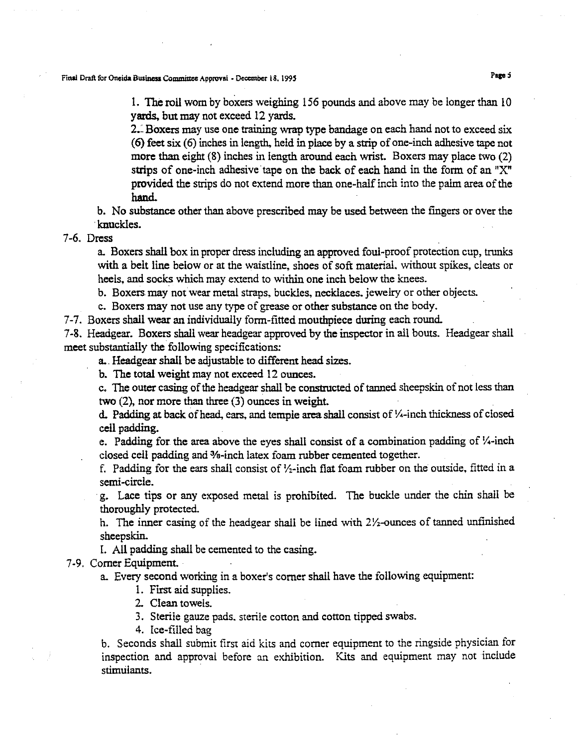Final Draft for Oneida Business Committee Approval - December 18, 1995

1. The roll wom by boxers weighing 156 pounds and above may be longer than 10 yards, but may not exceed 12 yards.

2.: Boxers may use one training wrap type bandage on each hand not to exceed six (6) feet six (6) inches in length, held in place by a strip ofone-inch adhesive tape not more than eight (8) inches in length around each wrist. Boxers may place two (2) strips of one-inch adhesive'tape on the back of each hand in the form of an "X" provided the strips do not extend more than one-half inch into the palm area of the hand.

b. No substance other than above prescribed may be used between the fingers or over the 'knuckles.

7-6. Dress

a. Boxers shall box in proper dress including an approved foul-proof protection cup, trunks with a belt line below or at the waistline, shoes of soft material, without spikes, cleats or heels, and socks which may extend to within one inch below the knees.

b. Boxers may not wear metal straps, buckles, necklaces, jewelry or other objects.

c. Boxers may not use any type of grease or other substance on the body.

7-7, Boxers shall wear an individually form-fitted mouthpiece during each round.

7-8, Headgear. Boxers shall wear headgear approved by the inspector in all bouts. Headgear shall meet substantially the following specifications:

a.. Headgear shall be adjustable to different head sizes.

b. The total weight may not exceed 12 ounces.

c. The outer casing of the headgear shall be constructed of tanned sheepskin of not less than two (2), nor more than three (3) ounces in weight.

d. Padding at back of head, ears, and temple area shall consist of  $\frac{1}{4}$ -inch thickness of closed cell padding.

e. Padding for the area above the eyes shall consist of a combination padding of  $\frac{1}{4}$ -inch closed cell padding and 3fa-inch latex foam rubber cemented together.

f. Padding for the ears shall consist of  $Y_2$ -inch flat foam rubber on the outside, fitted in a semi-circle.

.g. Lace tips or any exposed metal is prohibited. The buckle under the chin shall be thoroughly protected.

h. The inner casing of the headgear shall be lined with  $2\frac{y}{x}$ -ounces of tanned unfinished sheepskin.

1. All padding shall be cemented to the casing.

7-9, Comer Equlpment.

a. Every second working in a boxer's comer shall have the following equipment:

1. First aid supplies,

2. Clean towels.

3. Sterile gauze pads. sterile cotton and cotton tipped swabs.

4, Ice-filled bag

b. Seconds shall submit first aid kits and comer equipment to the ringside physician for inspection and approval before an exhibition. Kits and equipment may not include stimulants. .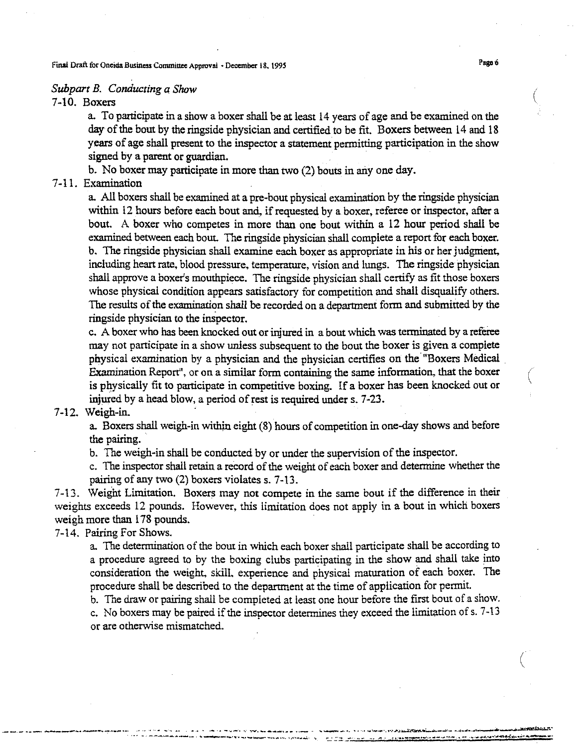Final Draft for Oneida Business Committee Approval • December 18, 1995 Page 6

## *Subpart B. Conducting a Show*

7-10. Boxers

a. To participate in a show a boxer sball be at least 14 years of age and be examined on the day of the bout by the ringside physician and certified to be fit. Boxers between 14 and 18 years of age shall present to the inspector a statement permitting participation in the show signed by a parent or guardian.

b. No boxer may participate in more than two (2) bouts in anyone day.

# 7-11. Examination

a. All boxers shall be examined at a pre-bout physical examination by the ringside physician within 12 hours before each bout and, if requested by a boxer, referee or inspector, after a bout. A boxer who competes in more than one bout within a 12 hour period shall be examined between each bout. The ringside physician shall complete a report for each boxer. b. The ringside physician shall examine each boxer as appropriate in his or her judgment, including heart rate, blood pressure, temperature, vision and lungs. The ringside physician shall approve a boxer's mouthpiece. The ringside physician shall certify as fit those boxers whose physical condition appears satisfactory for competition and shall disqualify others. The results of the examination shall be recorded on a department form and submitted by the ringside physician to the inspector,

c. A boxer who has been knocked out or injured in a bout which was terminated by a referee may not participate in a show unless subsequent to the bout the boxer is given a complete physical examination by a physician and the physician certifies on the "Boxers Medical . Examination Report", or on a similar form containing the same information, that the boxer is physically fit to participate in competitive boxing. If a boxer has been knocked out or injured by a head blow, a period of rest is required under s. 7-23.

## 7-12. Weigh-in. .

a. Boxers shall weigh-in within eight (8) hours of competition in one-day shows and before the pairing.

b. The weigh-in shall be conducted by or under the supervision of the inspector.

c. The inspector shall retain a record of the weight of each boxer and determine whether the pairing of any two (2) boxers violates s. 7-13.

7-13. Weight Limitation. Boxers may not compete in the same bout if the difference in their weights exceeds 12 pounds. However, this limitation does not apply in a bout in which boxers weigh more than 178 pounds.

# 7-14. Pairing For Shows.

a. The determination of the bout in which each boxer shall participate shall be according to a procedure agreed to by the boxing clubs participating in the show and shall take into consideration the weight, skill. experience and physical maturation of each boxer. The procedure shall be described to the department at the time of application for permit.

b. The draw or pairing shall be completed at least one hour before the first bout of a show. c. No boxers may be paired if the inspector determines they exceed the limitation of s.  $7-13$ or are otherwise mismatched.

\_\_.\_.\_\_. ~~......\_. "':"'~--.-. ""' ' **..,"** -.. \_' **, \_ \_\_ "\_\_'"** •. ,.. \_ \_ .;,......J.\_.--......\_....,\_ \_ ,\_..~~. ... \_.\_--~\_ ..-.- ..\_-\_."' \_\_ \,,....\_ \_"h\_ ".. \_ - -.. - \_ - -

(

(

 $\overline{\left( \right. }$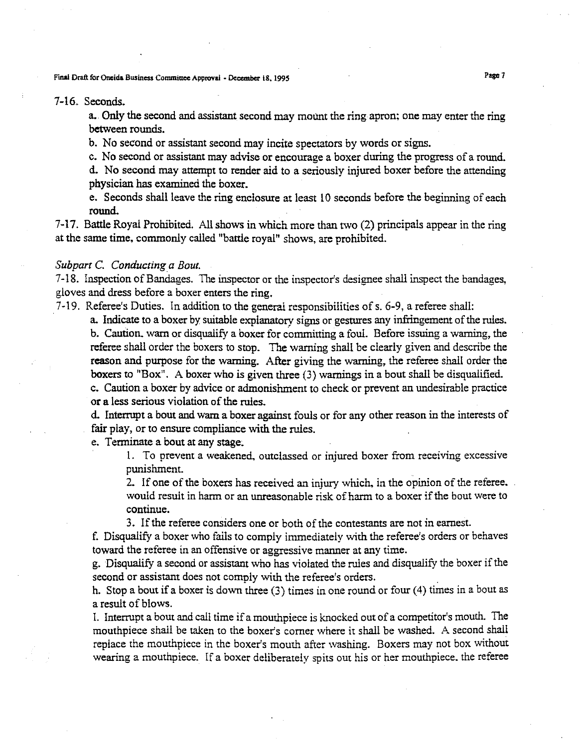Final Draft for Oneida Business Committee Approval. December 18, 1995 Page 7.

#### 7-16. Seconds.

a. Only the second and assistant second may mount the ring apron; one may enter the ring between rounds.

b. No second or assistant second may incite spectators by words or signs.

c. No second or assistant may advise or encourage a boxer during the progress of a round.

d. No second may attempt to render aid to a seriously injured boxer before the attending physician has examined the boxer.

e. Seconds shall leave the ring enclosure at least 10 seconds before the beginning of each round.

7-17. Battle Royal Prohibited. All shows in which more than two (2) principals appear in the ring at the same time, commonly called "battle royal" shows, are prohibited.

## *Subpart* C. *Conducting a Bout.*

7-18. Inspection of Bandages. The inspector or the inspector's designee shall inspect the bandages, gloves and dress before a boxer enters the ring.

7-19. Referee's Duties. In addition to the general responsibilities of s. 6-9, a referee shall:

a. Indicate to a boxer by suitable explanatory signs or gestures any infringement of the rules. b. Caution. warn or disqualify a boxer for committing a foul, Before issuing a warning, the referee shall order the boxers to stop. The warning shall be clearly given and describe the reason and purpose for the warning. After giving the warning, the referee shall order the boxers to "Box". A boxer who is given three (3) warnings in a bout shall be disqualified. c. Caution a boxer by advice or admonishment to check or prevent an undesirable practice

or a less serious violation of the rules.

d. Interrupt a bout and warn a boxer against fouls or for any other reason in the interests of fair play, or to ensure compliance with the rules.

e. Terminate a bout at any stage;

1. To prevent a weakened, outclassed or injured boxer from receiving excessive punishment.

2. If one of the boxers has received an injury which, in the opinion of the referee. would result in harm or an unreasonable risk of harm to a boxer if the bout were to continue.

3. If the referee considers one or both of the contestants are not in earnest.

f. Disqualify a boxer who fails to comply immediately with the referee's orders or behaves toward the referee in an offensive or aggressive manner at any time.

g. Disqualify a second or assistant who has violated the rules and disqualify the boxer if the second or assistant does not comply with the referee's orders. .

h. Stop a bout if a boxer is down three (3) times in one round or four (4) times in a bout as a result of blows.

I. Interrupt a bout and call time if a mouthpiece is knocked out of a competitor's mouth. The mouthpiece shall be taken to the boxer's comer where it shall be washed. A second shall replace the mouthpiece in the boxer's mouth after washing. Boxers may not box without wearing a mouthpiece. If a boxer deliberately spits out his or her mouthpiece, the referee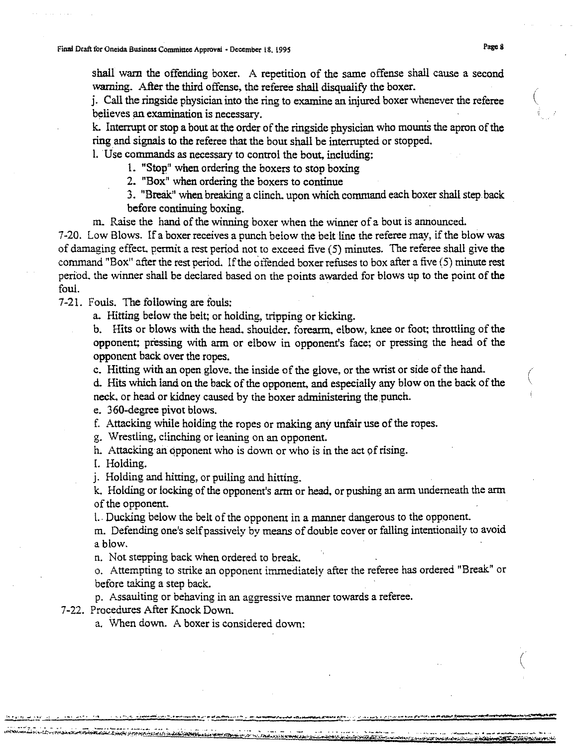shall warn the offending boxer. A repetition of the same offense shall cause a second warning. After the third offense, the referee shall disqualify the boxer.

j. Call the ringside physician into the ring to examine an injured boxer whenever the referee believes an examination is necessary.

k. Interrupt or stop a bout at the order of the ringside physician who mounts the apron of the ring and signals to the referee that the bout shall be interrupted or stopped.

l.Use commands as necessary to control the bout, including:

1. "Stop" when ordering the boxers to stop boxing

2. "Box" when ordering the boxers to continue

3. "Break" when breaking a clinch. upon which command each boxer shall step.back before continuing boxing.

m. Raise the hand of the winning boxer when the winner of a bout is announced.

7-20. Low Blows. If a boxer receives a punch below the belt line the referee may, if the blow was of damaging effect. permit a rest period not to exceed five (5) minutes. The referee shall give the command "Box" after the rest period. Ifthe offended boxer refuses to box after a five (5) minute rest period, the winner shall be declared based on the points awarded for blows up to the point of the foul,

7-21. Fouls. The following are fouls:

a. Hitting below the belt; or holding, tripping or kicking.

b. Hits or blows with the head, shoulder, forearm, elbow, knee or foot; throttling of the opponent; pressing with arm or elbow in opponent's face; or pressing the head of the opponent back over the ropes.

c. Hitting with an open glove, the inside of the glove, or the wrist or side of the hand.

d. Hits which land on the back of the opponent, and especially any blow on the back of the neck. or head or kidney caused by the boxer administering the punch.

e. 360-degree pivot blows.

f. Attacking while holding the ropes or making any unfair use of the ropes.

g. Wrestling, clinching or leaning on an opponent.

h. Attacking an opponent who is down or who is in the act of rising.

1. Holding.

j. Holding and hitting, or pulling and hitting.

k. Holding or locking of the opponent's arm or head, or pushing an arm underneath the arm of the opponent.

l. Ducking below the belt of the opponent in a manner dangerous to the opponent.

m. Defending one's selfpassively by means of double cover or falling intentionally to avoid a blow.

n. Not stepping back when ordered to break.

o. Attempting to strike an opponent immediately after the referee has ordered "Break" or before taking a step back.

p. Assaulting or behaving in an aggressive manner towards a referee.

7-22. Procedures After Knock Down.

**Synche Sherman Aris Judis for investigations** 

a. When down. A boxer is considered down:

(

 $\Big($ 

(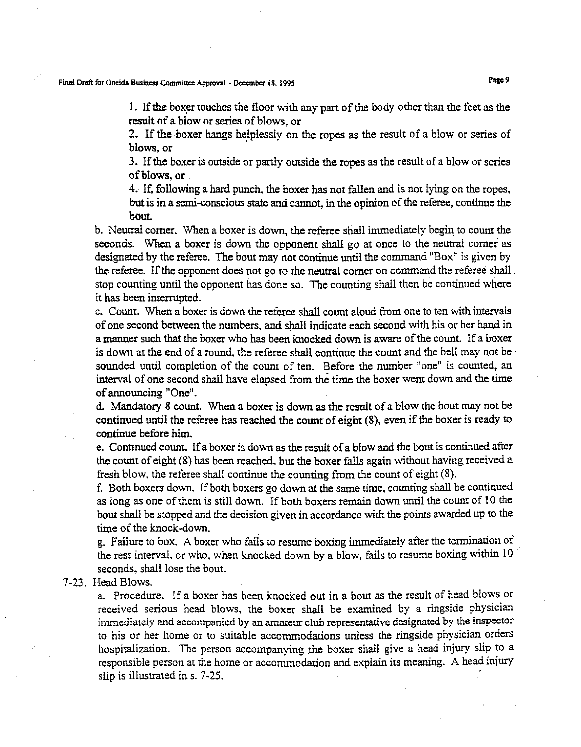## Final Draft for Oneida Business Committee Approval - December 18. 1995 Pape 9

1. If the boxer touches the floor with any part of the body other than the feet as the result of a blow or series of blows, or

2. If the boxer hangs helplessly on the ropes as the result of a blow or series of blows, or

3. Ifthe boxer is outside or partly outside the ropes as the result of a blow or series ofblows, or .

4. If, following a hard punch, the boxer has not fallen and is not lying on the ropes, but is in a semi-conscious state and cannot, in the opinion of the referee, continue the bout.

b. Neutral comer. When a boxer is down, the referee shall immediately begin to count the seconds. When a boxer is down the opponent shall go at once to the neutral comer as designated by the referee. The bout may not continue until the command "Box" is given by the referee. If the opponent does not go to the neutral corner on command the referee shall stop counting until the opponent has done so. The counting shall then be continued where it has been interrupted.

c. Count. When a boxer is down the referee shall count aloud from one to ten with intervals of one second between the numbers, and shall indicate each second with his or her hand in a manner such that the boxer who has been knocked down is aware ofthe count. If a boxer is down at the end of a round, the referee shall continue the count and the bell may not be . sounded until completion of the count of ten. Before the number "one" is counted, an interval of one second shall have elapsed from the time the boxer went down and the time of announcing "One".

d. Mandatory 8 count. When a boxer is down as the result of a blow the bout may not be continued until the referee has reached the count of eight  $(8)$ , even if the boxer is ready to continue before him.

e. Continued count. Ifa boxer is down as the result of a blow and the bout is continued after the count of eight (8) has been reached. but the boxer falls again without having received a fresh blow, the referee shall continue the counting from the count of eight (8).

f. Both boxers down. Ifboth boxers go down at the same time, counting shall be continued as long as one of them is still down. If both boxers remain down until the count of 10 the bout shall be stopped and the decision given in accordance with the points awarded up to the time of the knock-down.

g. Failure to box. A boxer who fails to resume boxing immediately after the termination of the rest interval, or who, when knocked down by a blow, fails to resume boxing within 10 seconds, shall lose the bout.

7-23. Head Blows.

a. Procedure. If a boxer has been knocked out in a bout as the result of head blows or received serious head blows, the boxer shall be examined by a ringside physician immediately and accompanied by an amateur club representative designated by the inspector to his or her home or to suitable accommodations unless the ringside physician orders hospitalization. The person accompanying the boxer shall give a head injury slip to a responsible person at the home or accommodation and explain its meaning. A head injury slip is illustrated in s. 7-25.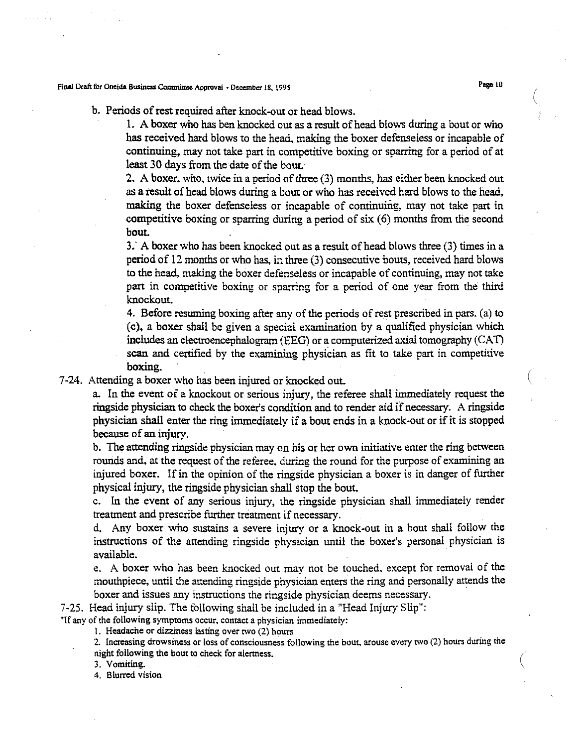## Final Draft for Oneida Business Committee Approval - December 18, 1995 . Page 10

# b. Periods of rest required after knock-out or head blows.

1. A boxer who has ben knocked out as a result of head blows during a bout or who has received hard blows to the head. making the boxer defenseless or incapable of continuing, may not take part in competitive boxing or sparring for a period of at least 30 days from the date of the bout.

2. A boxer, who, twice in a period of three (3) months, has either been knocked out as a result of head blows during a bout or who has received hard blows to the head. making the boxer defenseless or incapable of continuing, may not take part in competitive boxing or sparring during a period of six (6) months from the second bout.

3: A boxer who has been knocked out as a result of head blows three (3) times in a period of 12 months or who has, in three (3) consecutive bouts, received hard blows to the head. making the boxer defenseless or incapable of continuing, may not take part in competitive boxing or sparring for a period of one year from the third knockout.

4. Before resuming boxing after any of the periods of rest prescribed in pars. (a) to (c), a boxer shall be given a special examination by a qualified physician which includes an electroencephalogram (EEG) or a computerized axial tomography  $(CAT)$ scan and certified by the examining physician as fit to take part in competitive boxing.

7-24. Attending a boxer who has been injured or knocked out.

a. In the event of a knockout or serious injury, the referee shall immediately request the ringside physician to check the boxer's condition and to render aid if necessary. A ringside physician shall enter the ring immediately if a bout ends in a knock-out or if it is stopped because of an injury.

b. The attending ringside physician may on his or her own initiative enter the ring between rounds and, at the request of the referee. during the round for the purpose of examining an injured boxer. If in the opinion of the ringside physician a boxer is in danger of further physical injury, the ringside physician shall stop the bout.

c. In the event of any serious injury, the ringside physician shall immediately render treatment and prescribe further treatment if necessary.

d. Any boxer who sustains a severe injury or a knock-out in a bout shall follow the instructions of the attending ringside physician until the boxer's personal physician is available.

e. A boxer who has been knocked out may not be touched. except for removal of the mouthpiece, until the attending ringside physician enters the ring and personally attends the boxer and issues any instructions the ringside physician deems necessary.

7-25. Head injury slip. The following shall be included in a "Head Injury Slip":

"If any of the following symptoms occur, contact a physician immediately:

1. Headache or dizziness lasting over tWO (2) hours

2. Increasing drowsiness or loss of consciousness following the bout, arouse every two (2) hours during the night following the bout to check for alertness.

3. Vomiting.

4. Blurred vision

('

(

(